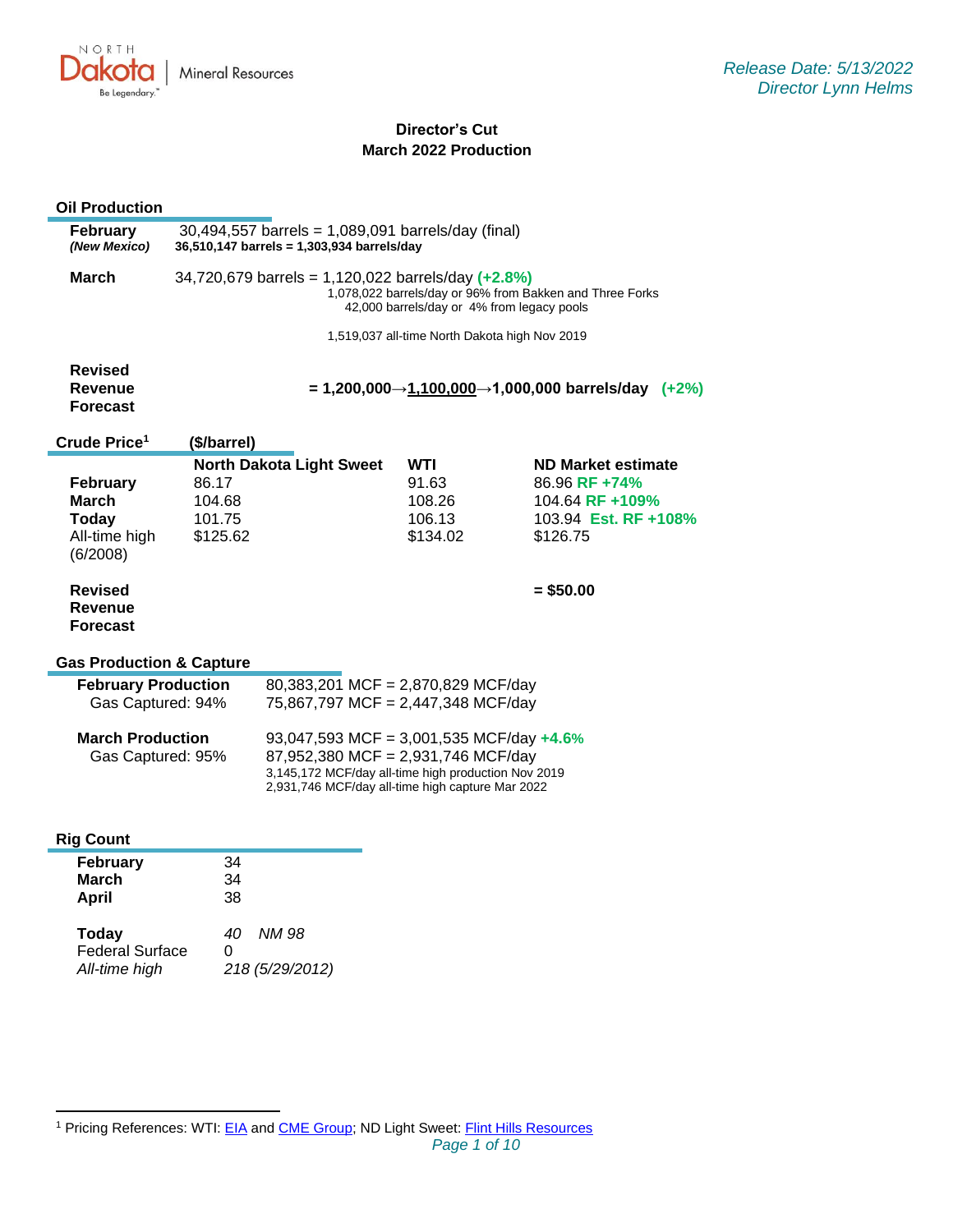

# **Director's Cut March 2022 Production**

### **Oil Production**

| <b>February</b> | $30,494,557$ barrels = 1,089,091 barrels/day (final)                                                                                                            |  |  |  |  |
|-----------------|-----------------------------------------------------------------------------------------------------------------------------------------------------------------|--|--|--|--|
| (New Mexico)    | 36,510,147 barrels = 1,303,934 barrels/day                                                                                                                      |  |  |  |  |
| March           | 34,720,679 barrels = 1,120,022 barrels/day $(+2.8\%)$<br>1,078,022 barrels/day or 96% from Bakken and Three Forks<br>42,000 barrels/day or 4% from legacy pools |  |  |  |  |

1,519,037 all-time North Dakota high Nov 2019

| <b>Revised</b> |                                                   |  |
|----------------|---------------------------------------------------|--|
| Revenue        | = 1,200,000→1,100,000→1,000,000 barrels/day (+2%) |  |
| Forecast       |                                                   |  |

| Crude Price <sup>1</sup>                     | (\$/barrel)                     |          |                      |
|----------------------------------------------|---------------------------------|----------|----------------------|
|                                              | <b>North Dakota Light Sweet</b> | WTI      | ND Market estimate   |
| February                                     | 86.17                           | 91.63    | 86.96 RF +74%        |
| March                                        | 104.68                          | 108.26   | 104.64 RF +109%      |
| <b>Today</b>                                 | 101.75                          | 106.13   | 103.94 Est. RF +108% |
| All-time high<br>(6/2008)                    | \$125.62                        | \$134.02 | \$126.75             |
| <b>Revised</b><br>Revenue<br><b>Forecast</b> |                                 |          | $=$ \$50.00          |

### **Gas Production & Capture**

| <b>February Production</b>                   | 80,383,201 MCF = 2,870,829 MCF/day                                                                                                                                                           |
|----------------------------------------------|----------------------------------------------------------------------------------------------------------------------------------------------------------------------------------------------|
| Gas Captured: 94%                            | 75,867,797 MCF = 2,447,348 MCF/day                                                                                                                                                           |
| <b>March Production</b><br>Gas Captured: 95% | 93,047,593 MCF = 3,001,535 MCF/day $+4.6\%$<br>87,952,380 MCF = 2,931,746 MCF/day<br>3,145,172 MCF/day all-time high production Nov 2019<br>2,931,746 MCF/day all-time high capture Mar 2022 |

### **Rig Count**

| <b>February</b><br><b>March</b><br>April         | 34<br>34<br>38                      |
|--------------------------------------------------|-------------------------------------|
| Today<br><b>Federal Surface</b><br>All-time high | NM 98<br>40<br>O<br>218 (5/29/2012) |

<sup>&</sup>lt;sup>1</sup> Pricing References: WTI: [EIA](https://www.eia.gov/dnav/pet/hist/LeafHandler.ashx?n=PET&s=RCLC1&f=M) and [CME Group;](https://www.cmegroup.com/trading/energy/crude-oil/light-sweet-crude.html) ND Light Sweet: [Flint Hills Resources](https://www.fhr.com/products-services/fuels-and-aromatics)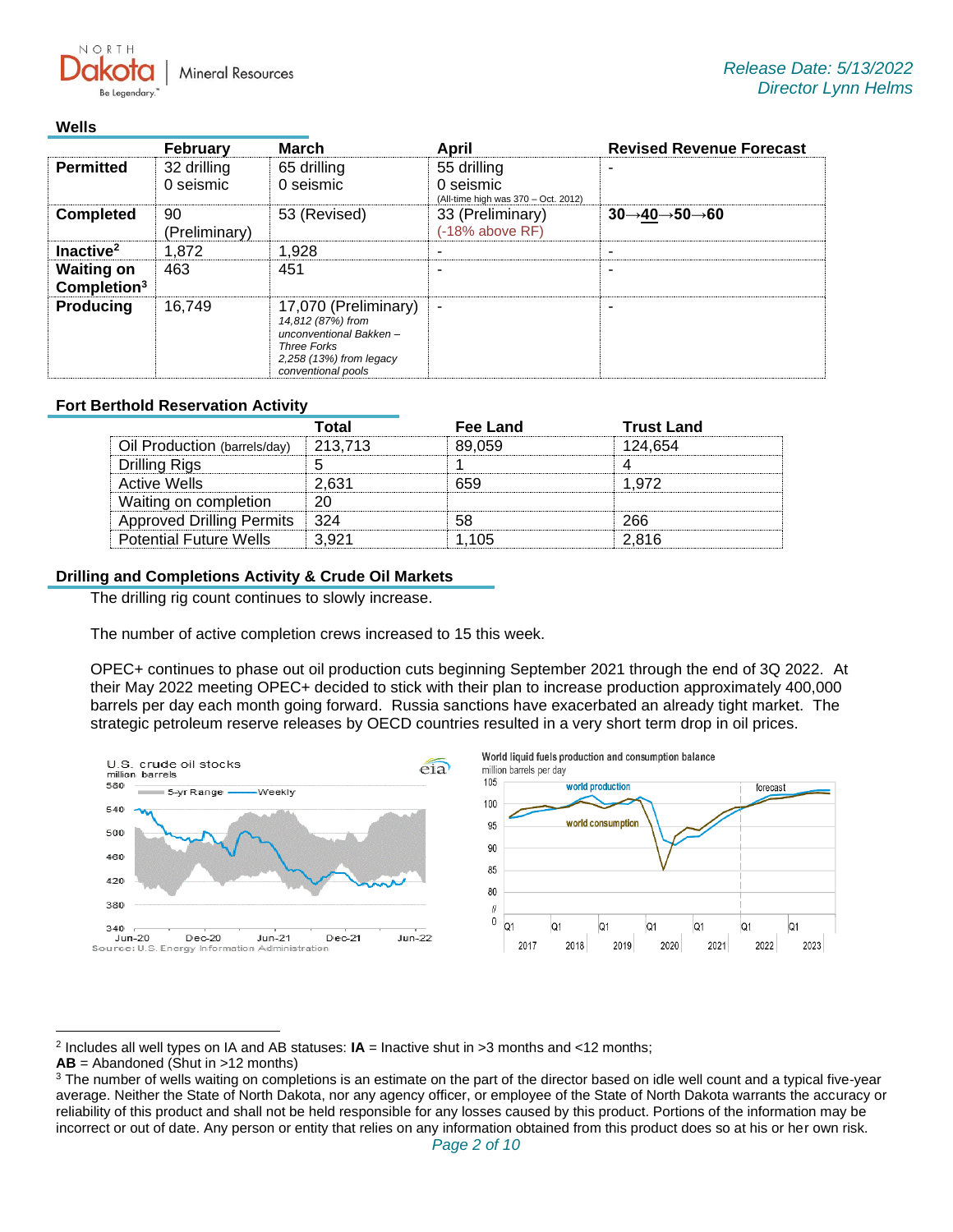**Mineral Resources** 

## **Wells**

NORTH

|                                              | <b>February</b>          | <b>March</b>                                                                                                                               | April                                                           | <b>Revised Revenue Forecast</b>                   |
|----------------------------------------------|--------------------------|--------------------------------------------------------------------------------------------------------------------------------------------|-----------------------------------------------------------------|---------------------------------------------------|
| <b>Permitted</b>                             | 32 drilling<br>0 seismic | 65 drilling<br>0 seismic                                                                                                                   | 55 drilling<br>0 seismic<br>(All-time high was 370 - Oct. 2012) |                                                   |
| <b>Completed</b>                             | 90<br>(Preliminary)      | 53 (Revised)                                                                                                                               | 33 (Preliminary)<br>(-18% above RF)                             | $30 \rightarrow 40 \rightarrow 50 \rightarrow 60$ |
| Inactive <sup>2</sup>                        | 1,872                    | 1.928                                                                                                                                      |                                                                 |                                                   |
| <b>Waiting on</b><br>Completion <sup>3</sup> | 463                      | 451                                                                                                                                        |                                                                 |                                                   |
| <b>Producing</b>                             | 16.749                   | 17,070 (Preliminary)<br>14,812 (87%) from<br>unconventional Bakken-<br><b>Three Forks</b><br>2,258 (13%) from legacy<br>conventional pools | ۰                                                               |                                                   |

# **Fort Berthold Reservation Activity**

|                                  | Total   | Fee Land | <b>Trust Land</b> |
|----------------------------------|---------|----------|-------------------|
| Oil Production (barrels/day)     | 213.713 | 89.059   | 124.654           |
| Drilling Rigs                    |         |          |                   |
| Active Wells                     | 2.631   | 659      | 1.972             |
| Waiting on completion            | 20.     |          |                   |
| <b>Approved Drilling Permits</b> | - 324   | 58       | 266               |
| <b>Potential Future Wells</b>    | 3.921   | 1.105    | 2.816             |

### **Drilling and Completions Activity & Crude Oil Markets**

The drilling rig count continues to slowly increase.

The number of active completion crews increased to 15 this week.

OPEC+ continues to phase out oil production cuts beginning September 2021 through the end of 3Q 2022. At their May 2022 meeting OPEC+ decided to stick with their plan to increase production approximately 400,000 barrels per day each month going forward. Russia sanctions have exacerbated an already tight market. The strategic petroleum reserve releases by OECD countries resulted in a very short term drop in oil prices.



2 Includes all well types on IA and AB statuses: **IA** = Inactive shut in >3 months and <12 months;

**AB** = Abandoned (Shut in >12 months)

<sup>&</sup>lt;sup>3</sup> The number of wells waiting on completions is an estimate on the part of the director based on idle well count and a typical five-year average. Neither the State of North Dakota, nor any agency officer, or employee of the State of North Dakota warrants the accuracy or reliability of this product and shall not be held responsible for any losses caused by this product. Portions of the information may be incorrect or out of date. Any person or entity that relies on any information obtained from this product does so at his or her own risk.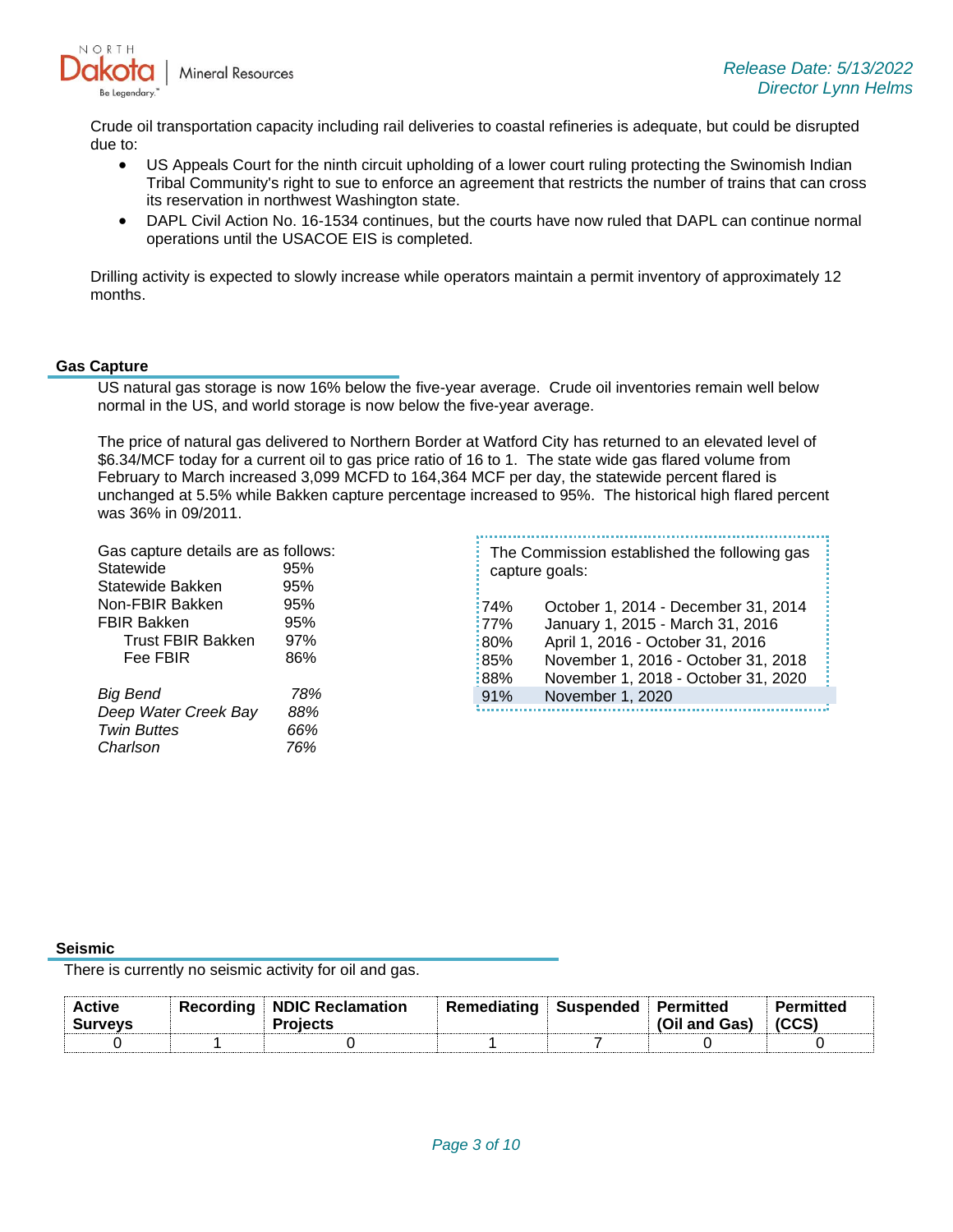

Crude oil transportation capacity including rail deliveries to coastal refineries is adequate, but could be disrupted due to:

- US Appeals Court for the ninth circuit upholding of a lower court ruling protecting the Swinomish Indian Tribal Community's right to sue to enforce an agreement that restricts the number of trains that can cross its reservation in northwest Washington state.
- DAPL Civil Action No. 16-1534 continues, but the courts have now ruled that DAPL can continue normal operations until the USACOE EIS is completed.

Drilling activity is expected to slowly increase while operators maintain a permit inventory of approximately 12 months.

#### **Gas Capture**

US natural gas storage is now 16% below the five-year average. Crude oil inventories remain well below normal in the US, and world storage is now below the five-year average.

The price of natural gas delivered to Northern Border at Watford City has returned to an elevated level of \$6.34/MCF today for a current oil to gas price ratio of 16 to 1. The state wide gas flared volume from February to March increased 3,099 MCFD to 164,364 MCF per day, the statewide percent flared is unchanged at 5.5% while Bakken capture percentage increased to 95%. The historical high flared percent was 36% in 09/2011.

Gas capture details are as follows: Statewide 95% Statewide Bakken 95% Non-FBIR Bakken 95% FBIR Bakken 95% Trust FBIR Bakken 97% Fee FBIR 86% *Big Bend 78% Deep Water Creek Bay 88% Twin Buttes 66% Charlson 76%* 

|         | The Commission established the following gas<br>capture goals: |
|---------|----------------------------------------------------------------|
| 174%    | October 1, 2014 - December 31, 2014                            |
| $:77\%$ | January 1, 2015 - March 31, 2016                               |
| 180%    | April 1, 2016 - October 31, 2016                               |
| :85%    | November 1, 2016 - October 31, 2018                            |
| 188%    | November 1, 2018 - October 31, 2020                            |
| 91%     | November 1, 2020                                               |
|         |                                                                |

#### **Seismic**

There is currently no seismic activity for oil and gas.

| <b>Active</b><br><b>Surveys</b> | Recordina | NDIC Reclamation<br><b>Projects</b> | Remediating | $\blacksquare$ Suspended $\blacksquare$ Permitted | (Oil and Gas) | Permitted |  |
|---------------------------------|-----------|-------------------------------------|-------------|---------------------------------------------------|---------------|-----------|--|
|                                 |           |                                     |             |                                                   |               |           |  |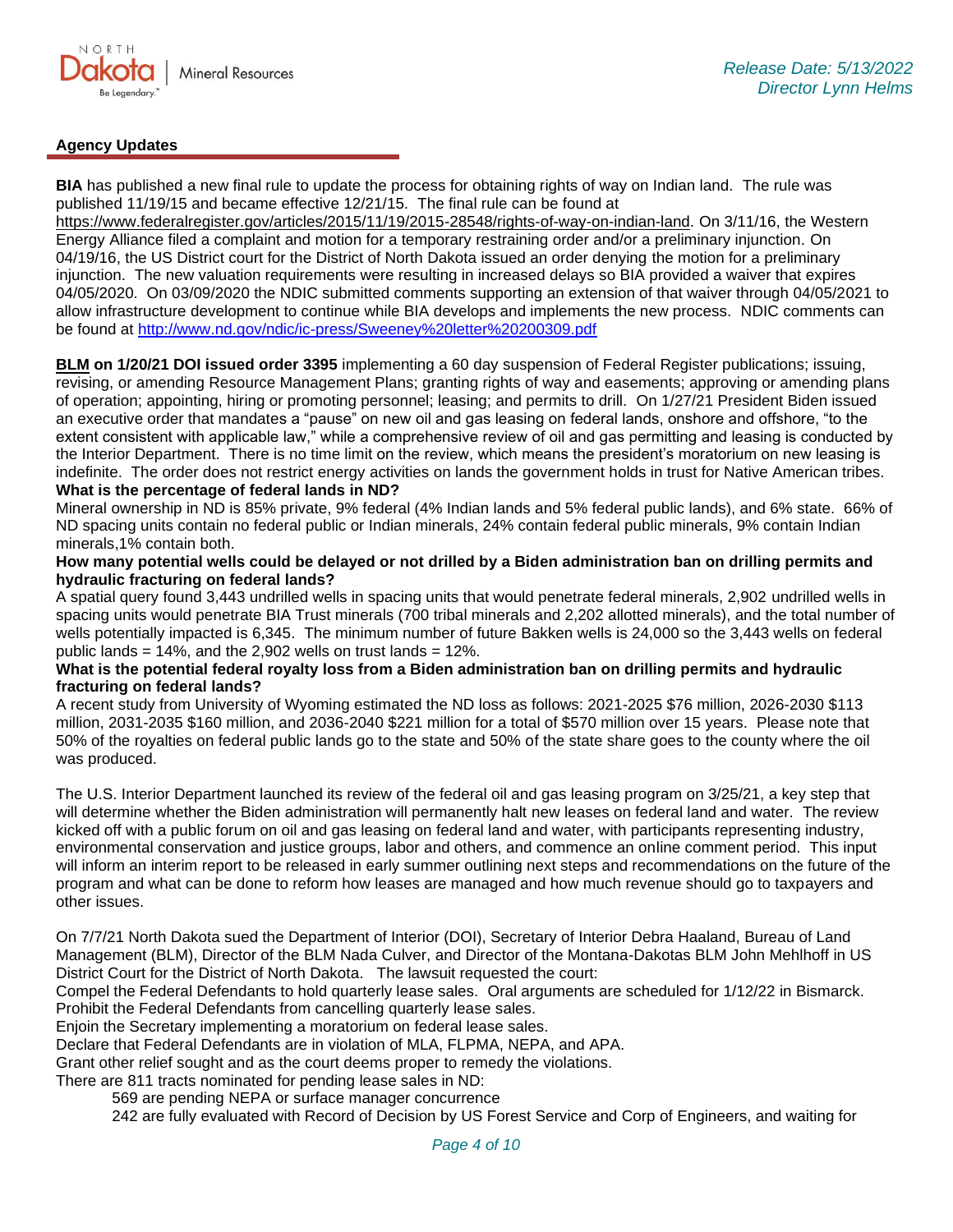

## **Agency Updates**

**BIA** has published a new final rule to update the process for obtaining rights of way on Indian land. The rule was published 11/19/15 and became effective 12/21/15. The final rule can be found at

[https://www.federalregister.gov/articles/2015/11/19/2015-28548/rights-of-way-on-indian-land.](https://gcc02.safelinks.protection.outlook.com/?url=https%3A%2F%2Fwww.federalregister.gov%2Farticles%2F2015%2F11%2F19%2F2015-28548%2Frights-of-way-on-indian-land&data=05%7C01%7Ckahaarsager%40nd.gov%7C7904c85bd58f4209a52408da34f3737b%7C2dea0464da514a88bae2b3db94bc0c54%7C0%7C0%7C637880517463687114%7CUnknown%7CTWFpbGZsb3d8eyJWIjoiMC4wLjAwMDAiLCJQIjoiV2luMzIiLCJBTiI6Ik1haWwiLCJXVCI6Mn0%3D%7C3000%7C%7C%7C&sdata=Wcb81e3cuPC02XqCOlFs7aNwGTGuNbh4iv%2B6PTbAfvU%3D&reserved=0) On 3/11/16, the Western Energy Alliance filed a complaint and motion for a temporary restraining order and/or a preliminary injunction. On 04/19/16, the US District court for the District of North Dakota issued an order denying the motion for a preliminary injunction. The new valuation requirements were resulting in increased delays so BIA provided a waiver that expires 04/05/2020. On 03/09/2020 the NDIC submitted comments supporting an extension of that waiver through 04/05/2021 to allow infrastructure development to continue while BIA develops and implements the new process. NDIC comments can be found at<http://www.nd.gov/ndic/ic-press/Sweeney%20letter%20200309.pdf>

**BLM on 1/20/21 DOI issued order 3395** implementing a 60 day suspension of Federal Register publications; issuing, revising, or amending Resource Management Plans; granting rights of way and easements; approving or amending plans of operation; appointing, hiring or promoting personnel; leasing; and permits to drill. On 1/27/21 President Biden issued an executive order that mandates a "pause" on new oil and gas leasing on federal lands, onshore and offshore, "to the extent consistent with applicable law," while a comprehensive review of oil and gas permitting and leasing is conducted by the Interior Department. There is no time limit on the review, which means the president's moratorium on new leasing is indefinite. The order does not restrict energy activities on lands the government holds in trust for Native American tribes. **What is the percentage of federal lands in ND?**

Mineral ownership in ND is 85% private, 9% federal (4% Indian lands and 5% federal public lands), and 6% state. 66% of ND spacing units contain no federal public or Indian minerals, 24% contain federal public minerals, 9% contain Indian minerals,1% contain both.

### **How many potential wells could be delayed or not drilled by a Biden administration ban on drilling permits and hydraulic fracturing on federal lands?**

A spatial query found 3,443 undrilled wells in spacing units that would penetrate federal minerals, 2,902 undrilled wells in spacing units would penetrate BIA Trust minerals (700 tribal minerals and 2,202 allotted minerals), and the total number of wells potentially impacted is 6,345. The minimum number of future Bakken wells is 24,000 so the 3,443 wells on federal public lands =  $14\%$ , and the 2,902 wells on trust lands =  $12\%$ .

### **What is the potential federal royalty loss from a Biden administration ban on drilling permits and hydraulic fracturing on federal lands?**

A recent study from University of Wyoming estimated the ND loss as follows: 2021-2025 \$76 million, 2026-2030 \$113 million, 2031-2035 \$160 million, and 2036-2040 \$221 million for a total of \$570 million over 15 years. Please note that 50% of the royalties on federal public lands go to the state and 50% of the state share goes to the county where the oil was produced.

The U.S. Interior Department launched its review of the federal oil and gas leasing program on 3/25/21, a key step that will determine whether the Biden administration will permanently halt new leases on federal land and water. The review kicked off with a public forum on oil and gas leasing on federal land and water, with participants representing industry, environmental conservation and justice groups, labor and others, and commence an online comment period. This input will inform an interim report to be released in early summer outlining next steps and recommendations on the future of the program and what can be done to reform how leases are managed and how much revenue should go to taxpayers and other issues.

On 7/7/21 North Dakota sued the Department of Interior (DOI), Secretary of Interior Debra Haaland, Bureau of Land Management (BLM), Director of the BLM Nada Culver, and Director of the Montana-Dakotas BLM John Mehlhoff in US District Court for the District of North Dakota. The lawsuit requested the court:

Compel the Federal Defendants to hold quarterly lease sales. Oral arguments are scheduled for 1/12/22 in Bismarck. Prohibit the Federal Defendants from cancelling quarterly lease sales.

Enjoin the Secretary implementing a moratorium on federal lease sales.

Declare that Federal Defendants are in violation of MLA, FLPMA, NEPA, and APA.

Grant other relief sought and as the court deems proper to remedy the violations.

There are 811 tracts nominated for pending lease sales in ND:

569 are pending NEPA or surface manager concurrence

242 are fully evaluated with Record of Decision by US Forest Service and Corp of Engineers, and waiting for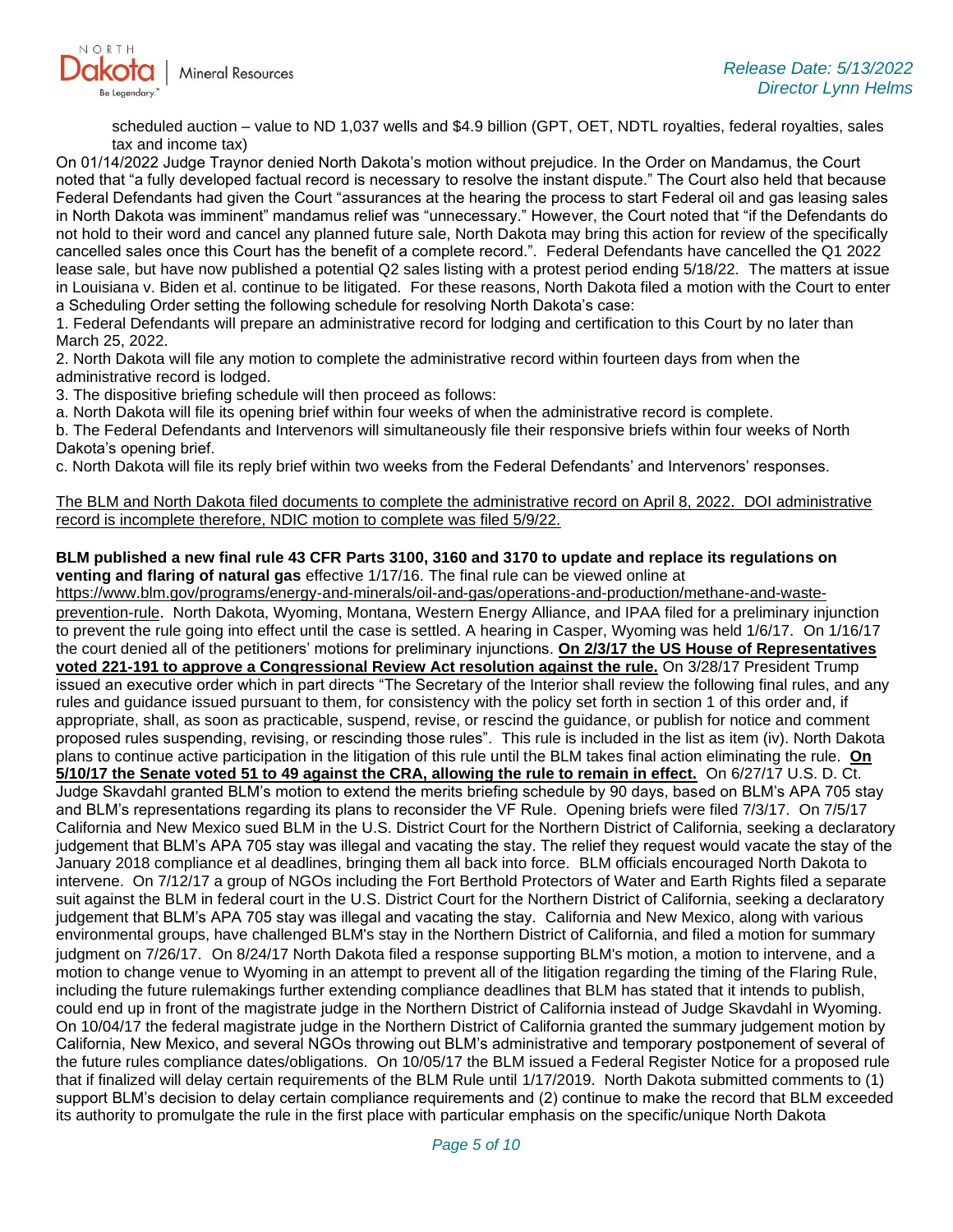

scheduled auction – value to ND 1,037 wells and \$4.9 billion (GPT, OET, NDTL royalties, federal royalties, sales tax and income tax)

On 01/14/2022 Judge Traynor denied North Dakota's motion without prejudice. In the Order on Mandamus, the Court noted that "a fully developed factual record is necessary to resolve the instant dispute." The Court also held that because Federal Defendants had given the Court "assurances at the hearing the process to start Federal oil and gas leasing sales in North Dakota was imminent" mandamus relief was "unnecessary." However, the Court noted that "if the Defendants do not hold to their word and cancel any planned future sale, North Dakota may bring this action for review of the specifically cancelled sales once this Court has the benefit of a complete record.". Federal Defendants have cancelled the Q1 2022 lease sale, but have now published a potential Q2 sales listing with a protest period ending 5/18/22. The matters at issue in Louisiana v. Biden et al. continue to be litigated. For these reasons, North Dakota filed a motion with the Court to enter a Scheduling Order setting the following schedule for resolving North Dakota's case:

1. Federal Defendants will prepare an administrative record for lodging and certification to this Court by no later than March 25, 2022.

2. North Dakota will file any motion to complete the administrative record within fourteen days from when the administrative record is lodged.

3. The dispositive briefing schedule will then proceed as follows:

a. North Dakota will file its opening brief within four weeks of when the administrative record is complete.

b. The Federal Defendants and Intervenors will simultaneously file their responsive briefs within four weeks of North Dakota's opening brief.

c. North Dakota will file its reply brief within two weeks from the Federal Defendants' and Intervenors' responses.

The BLM and North Dakota filed documents to complete the administrative record on April 8, 2022. DOI administrative record is incomplete therefore, NDIC motion to complete was filed 5/9/22.

### **BLM published a new final rule 43 CFR Parts 3100, 3160 and 3170 to update and replace its regulations on venting and flaring of natural gas** effective 1/17/16. The final rule can be viewed online at

[https://www.blm.gov/programs/energy-and-minerals/oil-and-gas/operations-and-production/methane-and-waste](https://gcc02.safelinks.protection.outlook.com/?url=https%3A%2F%2Fwww.blm.gov%2Fprograms%2Fenergy-and-minerals%2Foil-and-gas%2Foperations-and-production%2Fmethane-and-waste-prevention-rule&data=05%7C01%7Ckahaarsager%40nd.gov%7C7904c85bd58f4209a52408da34f3737b%7C2dea0464da514a88bae2b3db94bc0c54%7C0%7C0%7C637880517463687114%7CUnknown%7CTWFpbGZsb3d8eyJWIjoiMC4wLjAwMDAiLCJQIjoiV2luMzIiLCJBTiI6Ik1haWwiLCJXVCI6Mn0%3D%7C3000%7C%7C%7C&sdata=8nCr5reXDLiZdU%2FIFX9qCbBBfUbdVTDtm6Wl3J9wwhw%3D&reserved=0)[prevention-rule](https://gcc02.safelinks.protection.outlook.com/?url=https%3A%2F%2Fwww.blm.gov%2Fprograms%2Fenergy-and-minerals%2Foil-and-gas%2Foperations-and-production%2Fmethane-and-waste-prevention-rule&data=05%7C01%7Ckahaarsager%40nd.gov%7C7904c85bd58f4209a52408da34f3737b%7C2dea0464da514a88bae2b3db94bc0c54%7C0%7C0%7C637880517463687114%7CUnknown%7CTWFpbGZsb3d8eyJWIjoiMC4wLjAwMDAiLCJQIjoiV2luMzIiLCJBTiI6Ik1haWwiLCJXVCI6Mn0%3D%7C3000%7C%7C%7C&sdata=8nCr5reXDLiZdU%2FIFX9qCbBBfUbdVTDtm6Wl3J9wwhw%3D&reserved=0). North Dakota, Wyoming, Montana, Western Energy Alliance, and IPAA filed for a preliminary injunction to prevent the rule going into effect until the case is settled. A hearing in Casper, Wyoming was held 1/6/17. On 1/16/17 the court denied all of the petitioners' motions for preliminary injunctions. **On 2/3/17 the US House of Representatives voted 221-191 to approve a Congressional Review Act resolution against the rule.** On 3/28/17 President Trump issued an executive order which in part directs "The Secretary of the Interior shall review the following final rules, and any rules and guidance issued pursuant to them, for consistency with the policy set forth in section 1 of this order and, if appropriate, shall, as soon as practicable, suspend, revise, or rescind the guidance, or publish for notice and comment proposed rules suspending, revising, or rescinding those rules". This rule is included in the list as item (iv). North Dakota plans to continue active participation in the litigation of this rule until the BLM takes final action eliminating the rule. **On 5/10/17 the Senate voted 51 to 49 against the CRA, allowing the rule to remain in effect.** On 6/27/17 U.S. D. Ct. Judge Skavdahl granted BLM's motion to extend the merits briefing schedule by 90 days, based on BLM's APA 705 stay and BLM's representations regarding its plans to reconsider the VF Rule. Opening briefs were filed 7/3/17. On 7/5/17 California and New Mexico sued BLM in the U.S. District Court for the Northern District of California, seeking a declaratory judgement that BLM's APA 705 stay was illegal and vacating the stay. The relief they request would vacate the stay of the January 2018 compliance et al deadlines, bringing them all back into force. BLM officials encouraged North Dakota to intervene. On 7/12/17 a group of NGOs including the Fort Berthold Protectors of Water and Earth Rights filed a separate suit against the BLM in federal court in the U.S. District Court for the Northern District of California, seeking a declaratory judgement that BLM's APA 705 stay was illegal and vacating the stay. California and New Mexico, along with various environmental groups, have challenged BLM's stay in the Northern District of California, and filed a motion for summary judgment on 7/26/17. On 8/24/17 North Dakota filed a response supporting BLM's motion, a motion to intervene, and a motion to change venue to Wyoming in an attempt to prevent all of the litigation regarding the timing of the Flaring Rule, including the future rulemakings further extending compliance deadlines that BLM has stated that it intends to publish, could end up in front of the magistrate judge in the Northern District of California instead of Judge Skavdahl in Wyoming. On 10/04/17 the federal magistrate judge in the Northern District of California granted the summary judgement motion by California, New Mexico, and several NGOs throwing out BLM's administrative and temporary postponement of several of the future rules compliance dates/obligations. On 10/05/17 the BLM issued a Federal Register Notice for a proposed rule that if finalized will delay certain requirements of the BLM Rule until 1/17/2019. North Dakota submitted comments to (1) support BLM's decision to delay certain compliance requirements and (2) continue to make the record that BLM exceeded its authority to promulgate the rule in the first place with particular emphasis on the specific/unique North Dakota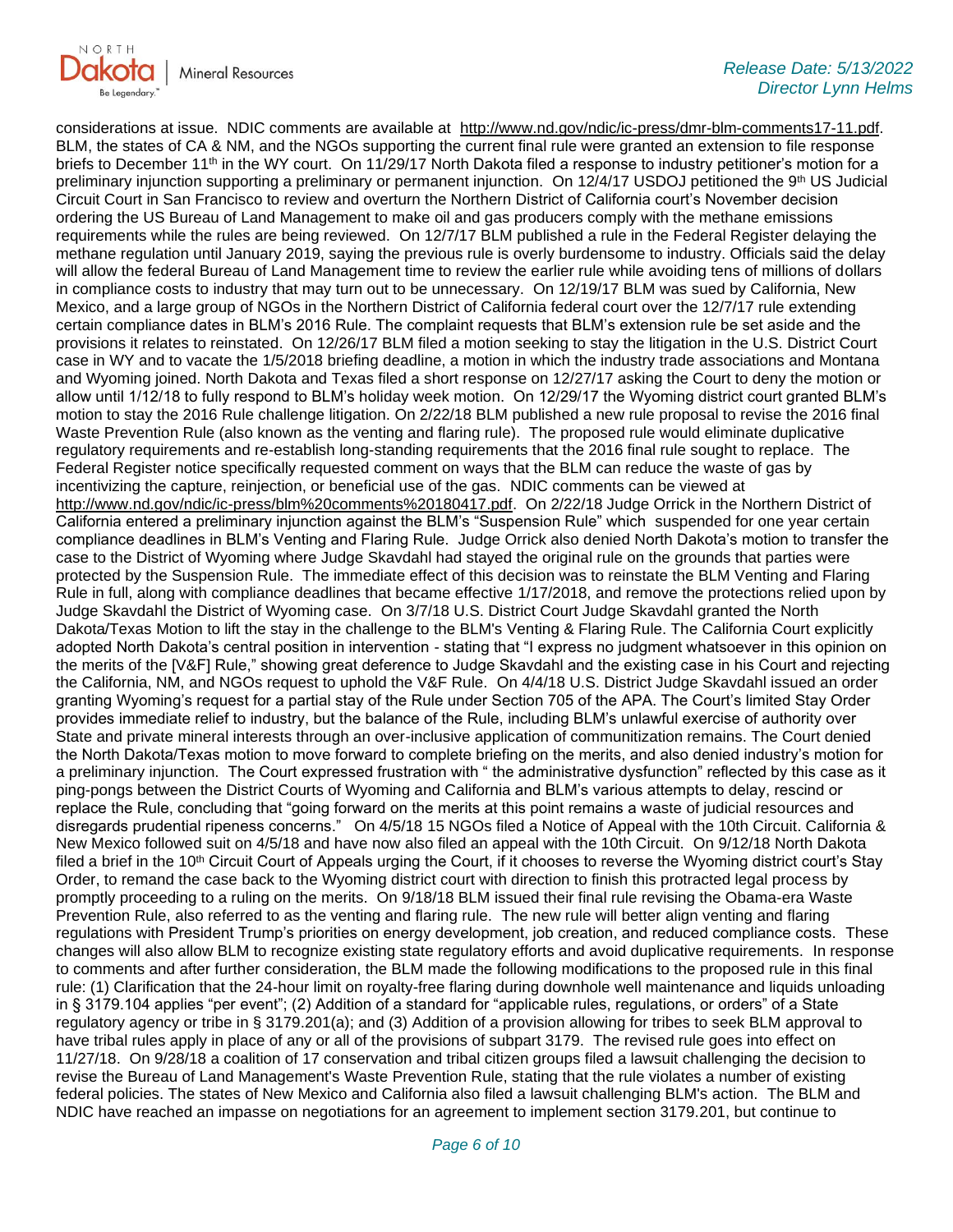

considerations at issue. NDIC comments are available at [http://www.nd.gov/ndic/ic-press/dmr-blm-comments17-11.pdf.](http://www.nd.gov/ndic/ic-press/dmr-blm-comments17-11.pdf) BLM, the states of CA & NM, and the NGOs supporting the current final rule were granted an extension to file response briefs to December 11<sup>th</sup> in the WY court. On 11/29/17 North Dakota filed a response to industry petitioner's motion for a preliminary injunction supporting a preliminary or permanent injunction. On 12/4/17 USDOJ petitioned the 9<sup>th</sup> US Judicial Circuit Court in San Francisco to review and overturn the Northern District of California court's November decision ordering the US Bureau of Land Management to make oil and gas producers comply with the methane emissions requirements while the rules are being reviewed. On 12/7/17 BLM published a rule in the Federal Register delaying the methane regulation until January 2019, saying the previous rule is overly burdensome to industry. Officials said the delay will allow the federal Bureau of Land Management time to review the earlier rule while avoiding tens of millions of dollars in compliance costs to industry that may turn out to be unnecessary. On 12/19/17 BLM was sued by California, New Mexico, and a large group of NGOs in the Northern District of California federal court over the 12/7/17 rule extending certain compliance dates in BLM's 2016 Rule. The complaint requests that BLM's extension rule be set aside and the provisions it relates to reinstated. On 12/26/17 BLM filed a motion seeking to stay the litigation in the U.S. District Court case in WY and to vacate the 1/5/2018 briefing deadline, a motion in which the industry trade associations and Montana and Wyoming joined. North Dakota and Texas filed a short response on 12/27/17 asking the Court to deny the motion or allow until 1/12/18 to fully respond to BLM's holiday week motion. On 12/29/17 the Wyoming district court granted BLM's motion to stay the 2016 Rule challenge litigation. On 2/22/18 BLM published a new rule proposal to revise the 2016 final Waste Prevention Rule (also known as the venting and flaring rule). The proposed rule would eliminate duplicative regulatory requirements and re-establish long-standing requirements that the 2016 final rule sought to replace. The Federal Register notice specifically requested comment on ways that the BLM can reduce the waste of gas by incentivizing the capture, reinjection, or beneficial use of the gas. NDIC comments can be viewed at [http://www.nd.gov/ndic/ic-press/blm%20comments%20180417.pdf.](http://www.nd.gov/ndic/ic-press/blm%20comments%20180417.pdf) On 2/22/18 Judge Orrick in the Northern District of California entered a preliminary injunction against the BLM's "Suspension Rule" which suspended for one year certain compliance deadlines in BLM's Venting and Flaring Rule. Judge Orrick also denied North Dakota's motion to transfer the case to the District of Wyoming where Judge Skavdahl had stayed the original rule on the grounds that parties were protected by the Suspension Rule. The immediate effect of this decision was to reinstate the BLM Venting and Flaring Rule in full, along with compliance deadlines that became effective 1/17/2018, and remove the protections relied upon by Judge Skavdahl the District of Wyoming case. On 3/7/18 U.S. District Court Judge Skavdahl granted the North Dakota/Texas Motion to lift the stay in the challenge to the BLM's Venting & Flaring Rule. The California Court explicitly adopted North Dakota's central position in intervention - stating that "I express no judgment whatsoever in this opinion on the merits of the [V&F] Rule," showing great deference to Judge Skavdahl and the existing case in his Court and rejecting the California, NM, and NGOs request to uphold the V&F Rule. On 4/4/18 U.S. District Judge Skavdahl issued an order granting Wyoming's request for a partial stay of the Rule under Section 705 of the APA. The Court's limited Stay Order provides immediate relief to industry, but the balance of the Rule, including BLM's unlawful exercise of authority over State and private mineral interests through an over-inclusive application of communitization remains. The Court denied the North Dakota/Texas motion to move forward to complete briefing on the merits, and also denied industry's motion for a preliminary injunction. The Court expressed frustration with " the administrative dysfunction" reflected by this case as it ping-pongs between the District Courts of Wyoming and California and BLM's various attempts to delay, rescind or replace the Rule, concluding that "going forward on the merits at this point remains a waste of judicial resources and disregards prudential ripeness concerns." On 4/5/18 15 NGOs filed a Notice of Appeal with the 10th Circuit. California & New Mexico followed suit on 4/5/18 and have now also filed an appeal with the 10th Circuit. On 9/12/18 North Dakota filed a brief in the 10<sup>th</sup> Circuit Court of Appeals urging the Court, if it chooses to reverse the Wyoming district court's Stay Order, to remand the case back to the Wyoming district court with direction to finish this protracted legal process by promptly proceeding to a ruling on the merits. On 9/18/18 BLM issued their final rule revising the Obama-era Waste Prevention Rule, also referred to as the venting and flaring rule. The new rule will better align venting and flaring regulations with President Trump's priorities on energy development, job creation, and reduced compliance costs. These changes will also allow BLM to recognize existing state regulatory efforts and avoid duplicative requirements. In response to comments and after further consideration, the BLM made the following modifications to the proposed rule in this final rule: (1) Clarification that the 24-hour limit on royalty-free flaring during downhole well maintenance and liquids unloading in § 3179.104 applies "per event"; (2) Addition of a standard for "applicable rules, regulations, or orders" of a State regulatory agency or tribe in § 3179.201(a); and (3) Addition of a provision allowing for tribes to seek BLM approval to have tribal rules apply in place of any or all of the provisions of subpart 3179. The revised rule goes into effect on 11/27/18. On 9/28/18 a coalition of 17 conservation and tribal citizen groups filed a lawsuit challenging the decision to revise the Bureau of Land Management's Waste Prevention Rule, stating that the rule violates a number of existing federal policies. The states of New Mexico and California also filed a lawsuit challenging BLM's action. The BLM and NDIC have reached an impasse on negotiations for an agreement to implement section 3179.201, but continue to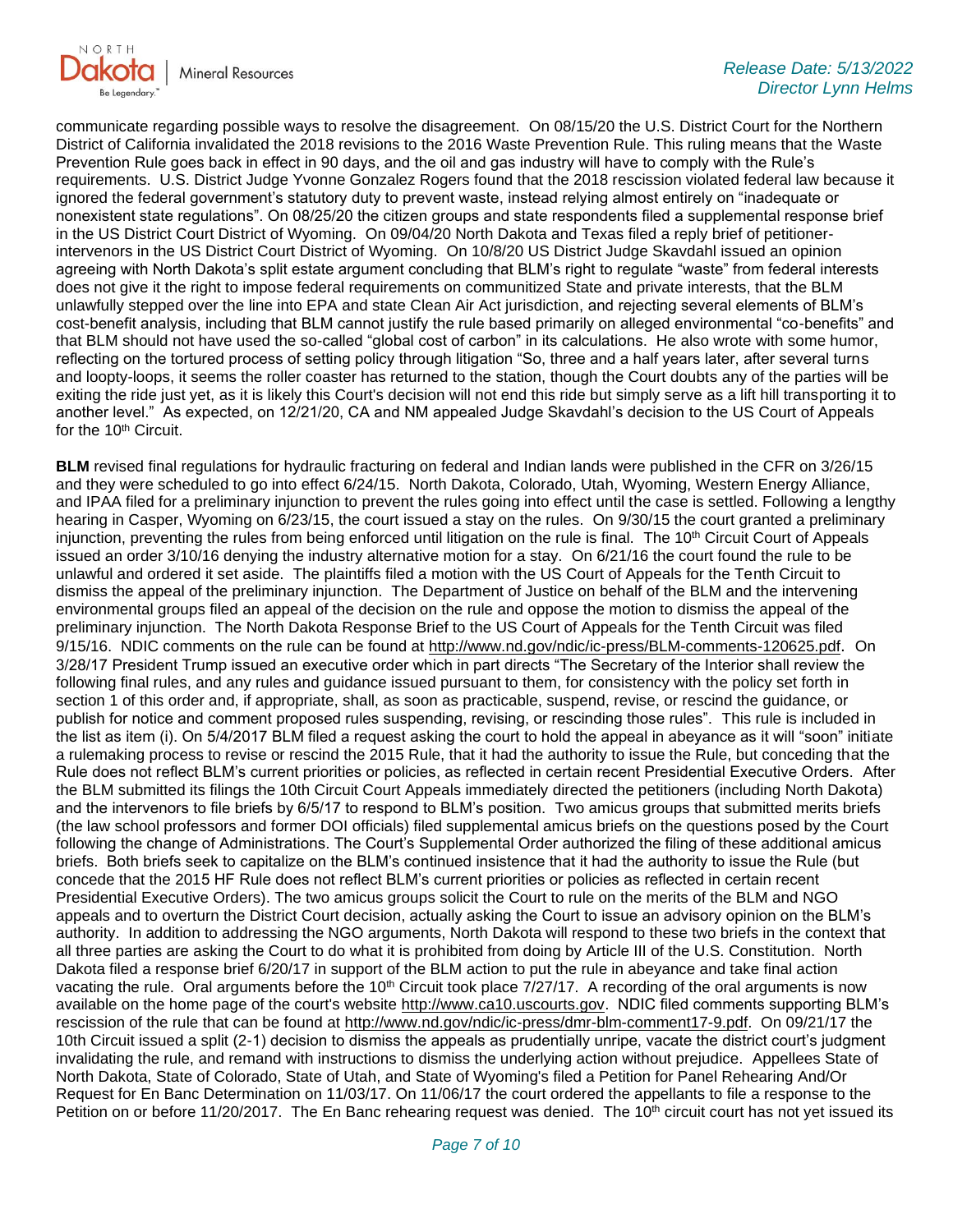

communicate regarding possible ways to resolve the disagreement. On 08/15/20 the U.S. District Court for the Northern District of California invalidated the 2018 revisions to the 2016 Waste Prevention Rule. This ruling means that the Waste Prevention Rule goes back in effect in 90 days, and the oil and gas industry will have to comply with the Rule's requirements. U.S. District Judge Yvonne Gonzalez Rogers found that the 2018 rescission violated federal law because it ignored the federal government's statutory duty to prevent waste, instead relying almost entirely on "inadequate or nonexistent state regulations". On 08/25/20 the citizen groups and state respondents filed a supplemental response brief in the US District Court District of Wyoming. On 09/04/20 North Dakota and Texas filed a reply brief of petitionerintervenors in the US District Court District of Wyoming. On 10/8/20 US District Judge Skavdahl issued an opinion agreeing with North Dakota's split estate argument concluding that BLM's right to regulate "waste" from federal interests does not give it the right to impose federal requirements on communitized State and private interests, that the BLM unlawfully stepped over the line into EPA and state Clean Air Act jurisdiction, and rejecting several elements of BLM's cost-benefit analysis, including that BLM cannot justify the rule based primarily on alleged environmental "co-benefits" and that BLM should not have used the so-called "global cost of carbon" in its calculations. He also wrote with some humor, reflecting on the tortured process of setting policy through litigation "So, three and a half years later, after several turns and loopty-loops, it seems the roller coaster has returned to the station, though the Court doubts any of the parties will be exiting the ride just yet, as it is likely this Court's decision will not end this ride but simply serve as a lift hill transporting it to another level." As expected, on 12/21/20, CA and NM appealed Judge Skavdahl's decision to the US Court of Appeals for the 10<sup>th</sup> Circuit.

**BLM** revised final regulations for hydraulic fracturing on federal and Indian lands were published in the CFR on 3/26/15 and they were scheduled to go into effect 6/24/15. North Dakota, Colorado, Utah, Wyoming, Western Energy Alliance, and IPAA filed for a preliminary injunction to prevent the rules going into effect until the case is settled. Following a lengthy hearing in Casper, Wyoming on 6/23/15, the court issued a stay on the rules. On 9/30/15 the court granted a preliminary injunction, preventing the rules from being enforced until litigation on the rule is final. The 10<sup>th</sup> Circuit Court of Appeals issued an order 3/10/16 denying the industry alternative motion for a stay. On 6/21/16 the court found the rule to be unlawful and ordered it set aside. The plaintiffs filed a motion with the US Court of Appeals for the Tenth Circuit to dismiss the appeal of the preliminary injunction. The Department of Justice on behalf of the BLM and the intervening environmental groups filed an appeal of the decision on the rule and oppose the motion to dismiss the appeal of the preliminary injunction. The North Dakota Response Brief to the US Court of Appeals for the Tenth Circuit was filed 9/15/16. NDIC comments on the rule can be found at<http://www.nd.gov/ndic/ic-press/BLM-comments-120625.pdf>. On 3/28/17 President Trump issued an executive order which in part directs "The Secretary of the Interior shall review the following final rules, and any rules and guidance issued pursuant to them, for consistency with the policy set forth in section 1 of this order and, if appropriate, shall, as soon as practicable, suspend, revise, or rescind the guidance, or publish for notice and comment proposed rules suspending, revising, or rescinding those rules". This rule is included in the list as item (i). On 5/4/2017 BLM filed a request asking the court to hold the appeal in abeyance as it will "soon" initiate a rulemaking process to revise or rescind the 2015 Rule, that it had the authority to issue the Rule, but conceding that the Rule does not reflect BLM's current priorities or policies, as reflected in certain recent Presidential Executive Orders. After the BLM submitted its filings the 10th Circuit Court Appeals immediately directed the petitioners (including North Dakota) and the intervenors to file briefs by 6/5/17 to respond to BLM's position. Two amicus groups that submitted merits briefs (the law school professors and former DOI officials) filed supplemental amicus briefs on the questions posed by the Court following the change of Administrations. The Court's Supplemental Order authorized the filing of these additional amicus briefs. Both briefs seek to capitalize on the BLM's continued insistence that it had the authority to issue the Rule (but concede that the 2015 HF Rule does not reflect BLM's current priorities or policies as reflected in certain recent Presidential Executive Orders). The two amicus groups solicit the Court to rule on the merits of the BLM and NGO appeals and to overturn the District Court decision, actually asking the Court to issue an advisory opinion on the BLM's authority. In addition to addressing the NGO arguments, North Dakota will respond to these two briefs in the context that all three parties are asking the Court to do what it is prohibited from doing by Article III of the U.S. Constitution. North Dakota filed a response brief 6/20/17 in support of the BLM action to put the rule in abeyance and take final action vacating the rule. Oral arguments before the 10<sup>th</sup> Circuit took place 7/27/17. A recording of the oral arguments is now available on the home page of the court's website [http://www.ca10.uscourts.gov.](https://urldefense.proofpoint.com/v2/url?u=http-3A__www.ca10.uscourts.gov&d=DwMGaQ&c=2s2mvbfY0UoSKkl6_Ol9wg&r=-wqsZnBxny594KY8HeElow&m=Ul_VtJUX6iW5pvHjCcBxUWtskC0F4Dhry3sPtcEHvCw&s=laRHiLDv5w8otcQWQjpn82WMieoB2AZ-Q4M1LFQPL5s&e=) NDIC filed comments supporting BLM's rescission of the rule that can be found at [http://www.nd.gov/ndic/ic-press/dmr-blm-comment17-9.pdf.](http://www.nd.gov/ndic/ic-press/dmr-blm-comment17-9.pdf) On 09/21/17 the 10th Circuit issued a split (2-1) decision to dismiss the appeals as prudentially unripe, vacate the district court's judgment invalidating the rule, and remand with instructions to dismiss the underlying action without prejudice. Appellees State of North Dakota, State of Colorado, State of Utah, and State of Wyoming's filed a Petition for Panel Rehearing And/Or Request for En Banc Determination on 11/03/17. On 11/06/17 the court ordered the appellants to file a response to the Petition on or before 11/20/2017. The En Banc rehearing request was denied. The 10<sup>th</sup> circuit court has not yet issued its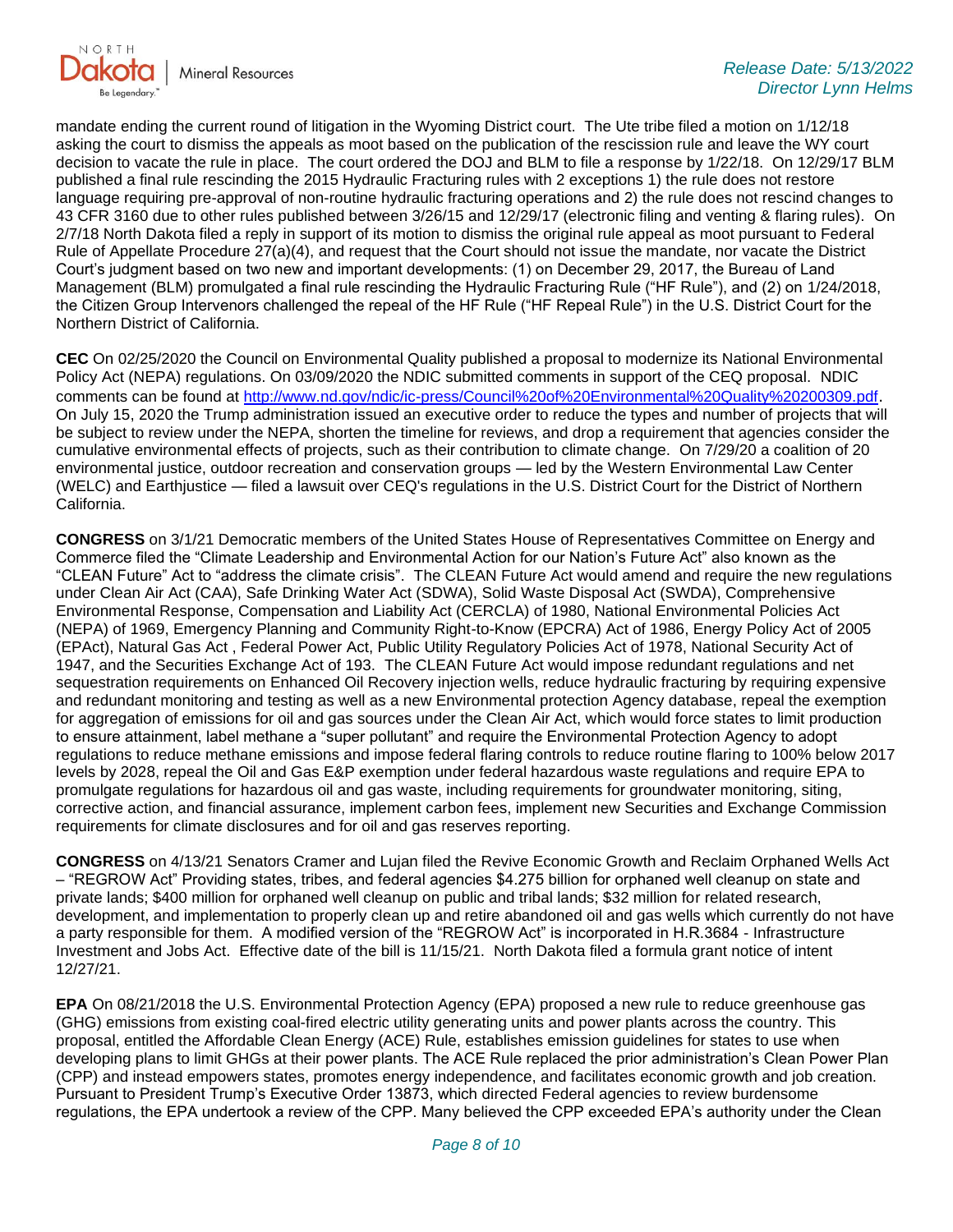

mandate ending the current round of litigation in the Wyoming District court. The Ute tribe filed a motion on 1/12/18 asking the court to dismiss the appeals as moot based on the publication of the rescission rule and leave the WY court decision to vacate the rule in place. The court ordered the DOJ and BLM to file a response by 1/22/18. On 12/29/17 BLM published a final rule rescinding the 2015 Hydraulic Fracturing rules with 2 exceptions 1) the rule does not restore language requiring pre-approval of non-routine hydraulic fracturing operations and 2) the rule does not rescind changes to 43 CFR 3160 due to other rules published between 3/26/15 and 12/29/17 (electronic filing and venting & flaring rules). On 2/7/18 North Dakota filed a reply in support of its motion to dismiss the original rule appeal as moot pursuant to Federal Rule of Appellate Procedure 27(a)(4), and request that the Court should not issue the mandate, nor vacate the District Court's judgment based on two new and important developments: (1) on December 29, 2017, the Bureau of Land Management (BLM) promulgated a final rule rescinding the Hydraulic Fracturing Rule ("HF Rule"), and (2) on 1/24/2018, the Citizen Group Intervenors challenged the repeal of the HF Rule ("HF Repeal Rule") in the U.S. District Court for the Northern District of California.

**CEC** On 02/25/2020 the Council on Environmental Quality published a proposal to modernize its National Environmental Policy Act (NEPA) regulations. On 03/09/2020 the NDIC submitted comments in support of the CEQ proposal. NDIC comments can be found at<http://www.nd.gov/ndic/ic-press/Council%20of%20Environmental%20Quality%20200309.pdf>. On July 15, 2020 the Trump administration issued an executive order to reduce the types and number of projects that will be subject to review under the NEPA, shorten the timeline for reviews, and drop a requirement that agencies consider the cumulative environmental effects of projects, such as their contribution to climate change. On 7/29/20 a coalition of 20 environmental justice, outdoor recreation and conservation groups — led by the Western Environmental Law Center (WELC) and Earthjustice — filed a lawsuit over CEQ's regulations in the U.S. District Court for the District of Northern California.

**CONGRESS** on 3/1/21 Democratic members of the United States House of Representatives Committee on Energy and Commerce filed the "Climate Leadership and Environmental Action for our Nation's Future Act" also known as the "CLEAN Future" Act to "address the climate crisis". The CLEAN Future Act would amend and require the new regulations under Clean Air Act (CAA), Safe Drinking Water Act (SDWA), Solid Waste Disposal Act (SWDA), Comprehensive Environmental Response, Compensation and Liability Act (CERCLA) of 1980, National Environmental Policies Act (NEPA) of 1969, Emergency Planning and Community Right-to-Know (EPCRA) Act of 1986, Energy Policy Act of 2005 (EPAct), Natural Gas Act , Federal Power Act, Public Utility Regulatory Policies Act of 1978, National Security Act of 1947, and the Securities Exchange Act of 193. The CLEAN Future Act would impose redundant regulations and net sequestration requirements on Enhanced Oil Recovery injection wells, reduce hydraulic fracturing by requiring expensive and redundant monitoring and testing as well as a new Environmental protection Agency database, repeal the exemption for aggregation of emissions for oil and gas sources under the Clean Air Act, which would force states to limit production to ensure attainment, label methane a "super pollutant" and require the Environmental Protection Agency to adopt regulations to reduce methane emissions and impose federal flaring controls to reduce routine flaring to 100% below 2017 levels by 2028, repeal the Oil and Gas E&P exemption under federal hazardous waste regulations and require EPA to promulgate regulations for hazardous oil and gas waste, including requirements for groundwater monitoring, siting, corrective action, and financial assurance, implement carbon fees, implement new Securities and Exchange Commission requirements for climate disclosures and for oil and gas reserves reporting.

**CONGRESS** on 4/13/21 Senators Cramer and Lujan filed the Revive Economic Growth and Reclaim Orphaned Wells Act – "REGROW Act" Providing states, tribes, and federal agencies \$4.275 billion for orphaned well cleanup on state and private lands; \$400 million for orphaned well cleanup on public and tribal lands; \$32 million for related research, development, and implementation to properly clean up and retire abandoned oil and gas wells which currently do not have a party responsible for them. A modified version of the "REGROW Act" is incorporated in H.R.3684 - Infrastructure Investment and Jobs Act. Effective date of the bill is 11/15/21. North Dakota filed a formula grant notice of intent 12/27/21.

**EPA** On 08/21/2018 the U.S. Environmental Protection Agency (EPA) proposed a new rule to reduce greenhouse gas (GHG) emissions from existing coal-fired electric utility generating units and power plants across the country. This proposal, entitled the Affordable Clean Energy (ACE) Rule, establishes emission guidelines for states to use when developing plans to limit GHGs at their power plants. The ACE Rule replaced the prior administration's Clean Power Plan (CPP) and instead empowers states, promotes energy independence, and facilitates economic growth and job creation. Pursuant to President Trump's Executive Order 13873, which directed Federal agencies to review burdensome regulations, the EPA undertook a review of the CPP. Many believed the CPP exceeded EPA's authority under the Clean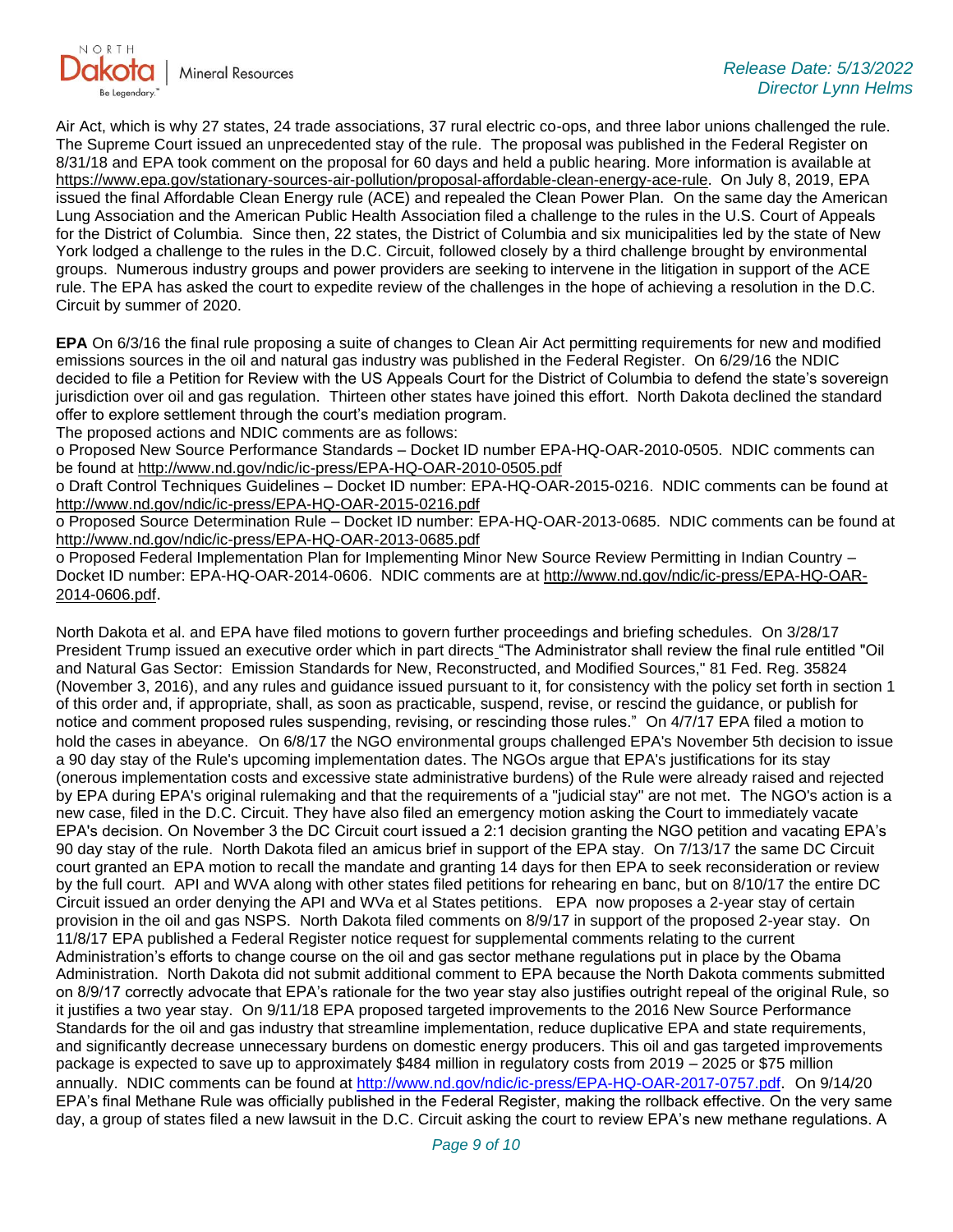

Air Act, which is why 27 states, 24 trade associations, 37 rural electric co-ops, and three labor unions challenged the rule. The Supreme Court issued an unprecedented stay of the rule. The proposal was published in the Federal Register on 8/31/18 and EPA took comment on the proposal for 60 days and held a public hearing. More information is available at [https://www.epa.gov/stationary-sources-air-pollution/proposal-affordable-clean-energy-ace-rule.](https://gcc02.safelinks.protection.outlook.com/?url=https%3A%2F%2Fwww.epa.gov%2Fstationary-sources-air-pollution%2Fproposal-affordable-clean-energy-ace-rule&data=05%7C01%7Ckahaarsager%40nd.gov%7C7904c85bd58f4209a52408da34f3737b%7C2dea0464da514a88bae2b3db94bc0c54%7C0%7C0%7C637880517463687114%7CUnknown%7CTWFpbGZsb3d8eyJWIjoiMC4wLjAwMDAiLCJQIjoiV2luMzIiLCJBTiI6Ik1haWwiLCJXVCI6Mn0%3D%7C3000%7C%7C%7C&sdata=suWiF4keVKLreLxWcTQS29Jii2izKYHOJAqlNWwryAs%3D&reserved=0) On July 8, 2019, EPA issued the final Affordable Clean Energy rule (ACE) and repealed the Clean Power Plan. On the same day the American Lung Association and the American Public Health Association filed a challenge to the rules in the U.S. Court of Appeals for the District of Columbia. Since then, 22 states, the District of Columbia and six municipalities led by the state of New York lodged a challenge to the rules in the D.C. Circuit, followed closely by a third challenge brought by environmental groups. Numerous industry groups and power providers are seeking to intervene in the litigation in support of the ACE rule. The EPA has asked the court to expedite review of the challenges in the hope of achieving a resolution in the D.C. Circuit by summer of 2020.

**EPA** On 6/3/16 the final rule proposing a suite of changes to Clean Air Act permitting requirements for new and modified emissions sources in the oil and natural gas industry was published in the Federal Register. On 6/29/16 the NDIC decided to file a Petition for Review with the US Appeals Court for the District of Columbia to defend the state's sovereign jurisdiction over oil and gas regulation. Thirteen other states have joined this effort. North Dakota declined the standard offer to explore settlement through the court's mediation program.

The proposed actions and NDIC comments are as follows:

o Proposed New Source Performance Standards – Docket ID number EPA-HQ-OAR-2010-0505. NDIC comments can be found at<http://www.nd.gov/ndic/ic-press/EPA-HQ-OAR-2010-0505.pdf>

o Draft Control Techniques Guidelines – Docket ID number: EPA-HQ-OAR-2015-0216. NDIC comments can be found at <http://www.nd.gov/ndic/ic-press/EPA-HQ-OAR-2015-0216.pdf>

o Proposed Source Determination Rule – Docket ID number: EPA-HQ-OAR-2013-0685. NDIC comments can be found at <http://www.nd.gov/ndic/ic-press/EPA-HQ-OAR-2013-0685.pdf>

o Proposed Federal Implementation Plan for Implementing Minor New Source Review Permitting in Indian Country – Docket ID number: EPA-HQ-OAR-2014-0606. NDIC comments are at [http://www.nd.gov/ndic/ic-press/EPA-HQ-OAR-](http://www.nd.gov/ndic/ic-press/EPA-HQ-OAR-2014-0606.pdf)[2014-0606.pdf](http://www.nd.gov/ndic/ic-press/EPA-HQ-OAR-2014-0606.pdf).

North Dakota et al. and EPA have filed motions to govern further proceedings and briefing schedules. On 3/28/17 President Trump issued an executive order which in part directs "The Administrator shall review the final rule entitled "Oil and Natural Gas Sector: Emission Standards for New, Reconstructed, and Modified Sources," 81 Fed. Reg. 35824 (November 3, 2016), and any rules and guidance issued pursuant to it, for consistency with the policy set forth in section 1 of this order and, if appropriate, shall, as soon as practicable, suspend, revise, or rescind the guidance, or publish for notice and comment proposed rules suspending, revising, or rescinding those rules." On 4/7/17 EPA filed a motion to hold the cases in abeyance. On 6/8/17 the NGO environmental groups challenged EPA's November 5th decision to issue a 90 day stay of the Rule's upcoming implementation dates. The NGOs argue that EPA's justifications for its stay (onerous implementation costs and excessive state administrative burdens) of the Rule were already raised and rejected by EPA during EPA's original rulemaking and that the requirements of a "judicial stay" are not met. The NGO's action is a new case, filed in the D.C. Circuit. They have also filed an emergency motion asking the Court to immediately vacate EPA's decision. On November 3 the DC Circuit court issued a 2:1 decision granting the NGO petition and vacating EPA's 90 day stay of the rule. North Dakota filed an amicus brief in support of the EPA stay. On 7/13/17 the same DC Circuit court granted an EPA motion to recall the mandate and granting 14 days for then EPA to seek reconsideration or review by the full court. API and WVA along with other states filed petitions for rehearing en banc, but on 8/10/17 the entire DC Circuit issued an order denying the API and WVa et al States petitions. EPA now proposes a 2-year stay of certain provision in the oil and gas NSPS. North Dakota filed comments on 8/9/17 in support of the proposed 2-year stay. On 11/8/17 EPA published a Federal Register notice request for supplemental comments relating to the current Administration's efforts to change course on the oil and gas sector methane regulations put in place by the Obama Administration. North Dakota did not submit additional comment to EPA because the North Dakota comments submitted on 8/9/17 correctly advocate that EPA's rationale for the two year stay also justifies outright repeal of the original Rule, so it justifies a two year stay. On 9/11/18 EPA proposed targeted improvements to the 2016 New Source Performance Standards for the oil and gas industry that streamline implementation, reduce duplicative EPA and state requirements, and significantly decrease unnecessary burdens on domestic energy producers. This oil and gas targeted improvements package is expected to save up to approximately \$484 million in regulatory costs from 2019 – 2025 or \$75 million annually. NDIC comments can be found at<http://www.nd.gov/ndic/ic-press/EPA-HQ-OAR-2017-0757.pdf>. On 9/14/20 EPA's final Methane Rule was officially published in the Federal Register, making the rollback effective. On the very same day, a group of states filed a new lawsuit in the D.C. Circuit asking the court to review EPA's new methane regulations. A